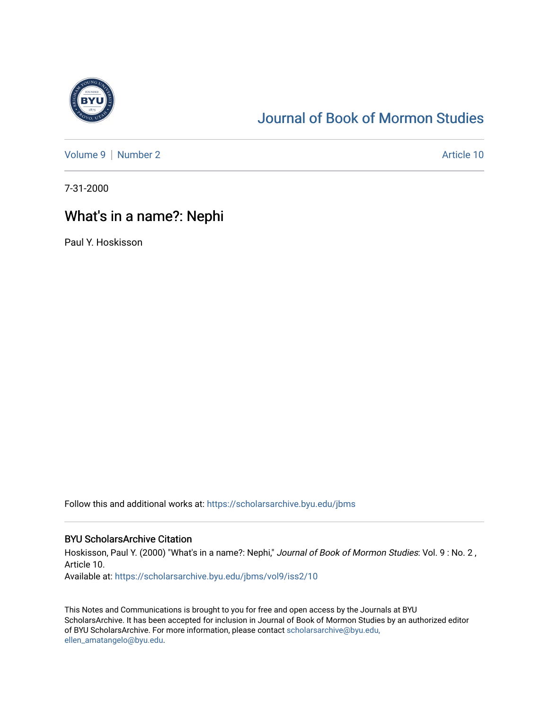

# [Journal of Book of Mormon Studies](https://scholarsarchive.byu.edu/jbms)

[Volume 9](https://scholarsarchive.byu.edu/jbms/vol9) | [Number 2](https://scholarsarchive.byu.edu/jbms/vol9/iss2) Article 10

7-31-2000

## What's in a name?: Nephi

Paul Y. Hoskisson

Follow this and additional works at: [https://scholarsarchive.byu.edu/jbms](https://scholarsarchive.byu.edu/jbms?utm_source=scholarsarchive.byu.edu%2Fjbms%2Fvol9%2Fiss2%2F10&utm_medium=PDF&utm_campaign=PDFCoverPages) 

### BYU ScholarsArchive Citation

Hoskisson, Paul Y. (2000) "What's in a name?: Nephi," Journal of Book of Mormon Studies: Vol. 9: No. 2, Article 10.

Available at: [https://scholarsarchive.byu.edu/jbms/vol9/iss2/10](https://scholarsarchive.byu.edu/jbms/vol9/iss2/10?utm_source=scholarsarchive.byu.edu%2Fjbms%2Fvol9%2Fiss2%2F10&utm_medium=PDF&utm_campaign=PDFCoverPages) 

This Notes and Communications is brought to you for free and open access by the Journals at BYU ScholarsArchive. It has been accepted for inclusion in Journal of Book of Mormon Studies by an authorized editor of BYU ScholarsArchive. For more information, please contact [scholarsarchive@byu.edu,](mailto:scholarsarchive@byu.edu,%20ellen_amatangelo@byu.edu) [ellen\\_amatangelo@byu.edu](mailto:scholarsarchive@byu.edu,%20ellen_amatangelo@byu.edu).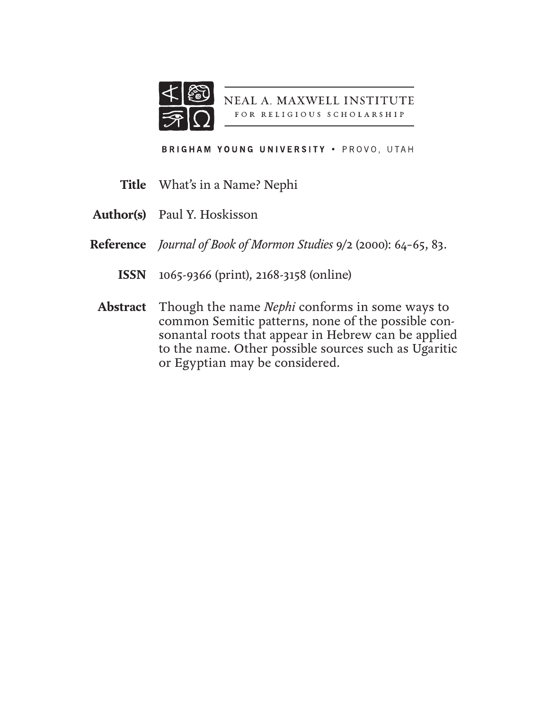

NEAL A. MAXWELL INSTITUTE FOR RELIGIOUS SCHOLARSHIP

BRIGHAM YOUNG UNIVERSITY . PROVO, UTAH

- What's in a Name? Nephi **Title**
- Paul Y. Hoskisson **Author(s)**
- *Journal of Book of Mormon Studies* 9/2 (2000): 64–65, 83. **Reference**
	- 1065-9366 (print), 2168-3158 (online) **ISSN**
- Though the name *Nephi* conforms in some ways to **Abstract**common Semitic patterns, none of the possible consonantal roots that appear in Hebrew can be applied to the name. Other possible sources such as Ugaritic or Egyptian may be considered.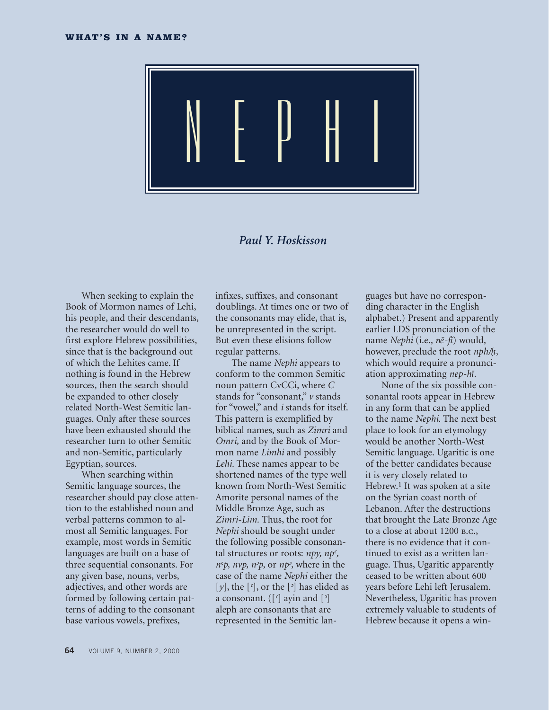

### *Paul Y. Hoskisson*

When seeking to explain the Book of Mormon names of Lehi, his people, and their descendants, the researcher would do well to first explore Hebrew possibilities, since that is the background out of which the Lehites came. If nothing is found in the Hebrew sources, then the search should be expanded to other closely related North-West Semitic languages. Only after these sources have been exhausted should the researcher turn to other Semitic and non-Semitic, particularly Egyptian, sources.

When searching within Semitic language sources, the researcher should pay close attention to the established noun and verbal patterns common to almost all Semitic languages. For example, most words in Semitic languages are built on a base of three sequential consonants. For any given base, nouns, verbs, adjectives, and other words are formed by following certain patterns of adding to the consonant base various vowels, prefixes,

infixes, suffixes, and consonant doublings. At times one or two of the consonants may elide, that is, be unrepresented in the script. But even these elisions follow regular patterns.

The name *Nephi* appears to conform to the common Semitic noun pattern CvCCi, where *C* stands for "consonant," *v* stands for "vowel," and *i* stands for itself. This pattern is exemplified by biblical names, such as *Zimri* and *Omri,* and by the Book of Mormon name *Limhi* and possibly *Lehi*. These names appear to be shortened names of the type well known from North-West Semitic Amorite personal names of the Middle Bronze Age, such as *Zimri-Lim.* Thus, the root for *Nephi* should be sought under the following possible consonantal structures or roots: *npy, np>,*   $n^c p$ ,  $n v p$ ,  $n^2 p$ , or  $n p^2$ , where in the case of the name *Nephi* either the  $[y]$ , the  $[\text{c}]$ , or the  $[\text{c}]$  has elided as a consonant. ([*>*] ayin and [*<*] aleph are consonants that are represented in the Semitic lan-

guages but have no corresponding character in the English alphabet.) Present and apparently earlier LDS pronunciation of the name *Nephi* (i.e., *nΣ-f•*) would, however, preclude the root *nph/˙,*  which would require a pronunciation approximating *nep-h•.*

None of the six possible consonantal roots appear in Hebrew in any form that can be applied to the name *Nephi*. The next best place to look for an etymology would be another North-West Semitic language. Ugaritic is one of the better candidates because it is very closely related to Hebrew.<sup>1</sup> It was spoken at a site on the Syrian coast north of Lebanon. After the destructions that brought the Late Bronze Age to a close at about 1200 b.c., there is no evidence that it continued to exist as a written language. Thus, Ugaritic apparently ceased to be written about 600 years before Lehi left Jerusalem. Nevertheless, Ugaritic has proven extremely valuable to students of Hebrew because it opens a win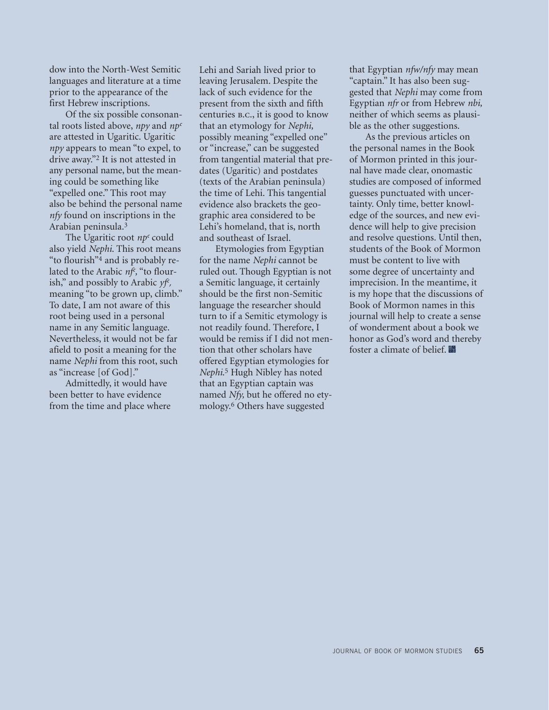dow into the North-West Semitic languages and literature at a time prior to the appearance of the first Hebrew inscriptions.

Of the six possible consonantal roots listed above, *npy* and *np>* are attested in Ugaritic. Ugaritic *npy* appears to mean "to expel, to drive away."2 It is not attested in any personal name, but the meaning could be something like "expelled one." This root may also be behind the personal name *nfy* found on inscriptions in the Arabian peninsula.3

The Ugaritic root *np<sup>c</sup>* could also yield *Nephi*. This root means "to flourish"4 and is probably related to the Arabic *nf>,* "to flourish," and possibly to Arabic *yf>,* meaning "to be grown up, climb." To date, I am not aware of this root being used in a personal name in any Semitic language. Nevertheless, it would not be far afield to posit a meaning for the name *Nephi* from this root, such as "increase [of God]."

Admittedly, it would have been better to have evidence from the time and place where Lehi and Sariah lived prior to leaving Jerusalem. Despite the lack of such evidence for the present from the sixth and fifth centuries b.c., it is good to know that an etymology for *Nephi,* possibly meaning "expelled one" or "increase," can be suggested from tangential material that predates (Ugaritic) and postdates (texts of the Arabian peninsula) the time of Lehi. This tangential evidence also brackets the geographic area considered to be Lehi's homeland, that is, north and southeast of Israel.

Etymologies from Egyptian for the name *Nephi* cannot be ruled out. Though Egyptian is not a Semitic language, it certainly should be the first non-Semitic language the researcher should turn to if a Semitic etymology is not readily found. Therefore, I would be remiss if I did not mention that other scholars have offered Egyptian etymologies for *Nephi*. 5 Hugh Nibley has noted that an Egyptian captain was named *Nfy*, but he offered no etymology.6 Others have suggested

that Egyptian *nfw/nfy* may mean "captain." It has also been suggested that *Nephi* may come from Egyptian *nfr* or from Hebrew *nbi,* neither of which seems as plausible as the other suggestions.

As the previous articles on the personal names in the Book of Mormon printed in this journal have made clear, onomastic studies are composed of informed guesses punctuated with uncertainty. Only time, better knowledge of the sources, and new evidence will help to give precision and resolve questions. Until then, students of the Book of Mormon must be content to live with some degree of uncertainty and imprecision. In the meantime, it is my hope that the discussions of Book of Mormon names in this journal will help to create a sense of wonderment about a book we honor as God's word and thereby foster a climate of belief.